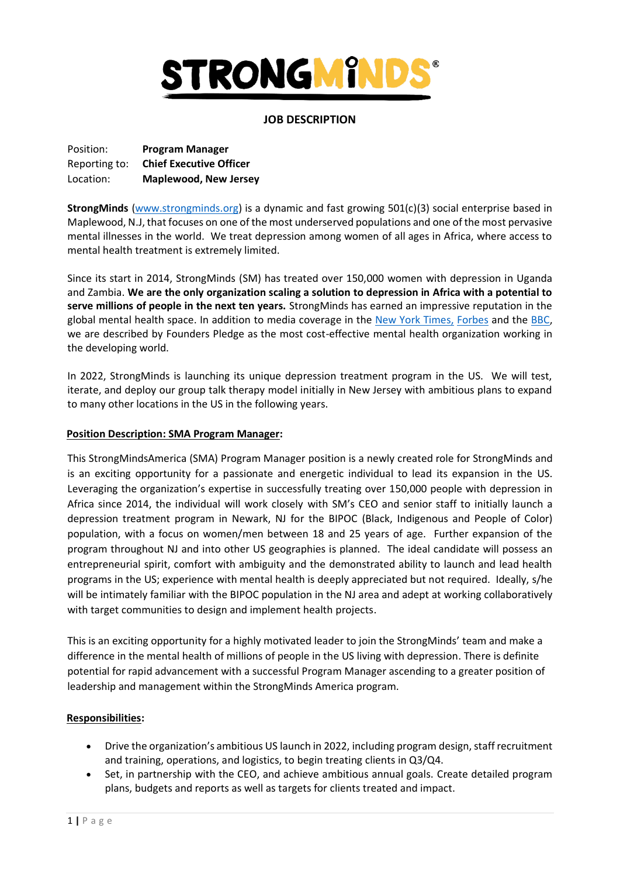

# **JOB DESCRIPTION**

| Position:     | <b>Program Manager</b>         |
|---------------|--------------------------------|
| Reporting to: | <b>Chief Executive Officer</b> |
| Location:     | <b>Maplewood, New Jersey</b>   |

**StrongMinds** [\(www.strongminds.org\)](http://www.strongminds.org/) is a dynamic and fast growing 501(c)(3) social enterprise based in Maplewood, N.J, that focuses on one of the most underserved populations and one of the most pervasive mental illnesses in the world. We treat depression among women of all ages in Africa, where access to mental health treatment is extremely limited.

Since its start in 2014, StrongMinds (SM) has treated over 150,000 women with depression in Uganda and Zambia. **We are the only organization scaling a solution to depression in Africa with a potential to serve millions of people in the next ten years.** StrongMinds has earned an impressive reputation in the global mental health space. In addition to media coverage in the [New York Times,](http://opinionator.blogs.nytimes.com/2014/12/04/a-depression-fighting-strategy-that-could-go-viral/?_r=1) [Forbes](https://kinder.world/articles/solutions/mental-health-is-the-most-neglected-health-problem-in-the-developing-world-20235) and the [BBC,](https://www.bbc.co.uk/programmes/w3csz1pp) we are described by Founders Pledge as the most cost-effective mental health organization working in the developing world.

In 2022, StrongMinds is launching its unique depression treatment program in the US. We will test, iterate, and deploy our group talk therapy model initially in New Jersey with ambitious plans to expand to many other locations in the US in the following years.

### **Position Description: SMA Program Manager:**

This StrongMindsAmerica (SMA) Program Manager position is a newly created role for StrongMinds and is an exciting opportunity for a passionate and energetic individual to lead its expansion in the US. Leveraging the organization's expertise in successfully treating over 150,000 people with depression in Africa since 2014, the individual will work closely with SM's CEO and senior staff to initially launch a depression treatment program in Newark, NJ for the BIPOC (Black, Indigenous and People of Color) population, with a focus on women/men between 18 and 25 years of age. Further expansion of the program throughout NJ and into other US geographies is planned. The ideal candidate will possess an entrepreneurial spirit, comfort with ambiguity and the demonstrated ability to launch and lead health programs in the US; experience with mental health is deeply appreciated but not required. Ideally, s/he will be intimately familiar with the BIPOC population in the NJ area and adept at working collaboratively with target communities to design and implement health projects.

This is an exciting opportunity for a highly motivated leader to join the StrongMinds' team and make a difference in the mental health of millions of people in the US living with depression. There is definite potential for rapid advancement with a successful Program Manager ascending to a greater position of leadership and management within the StrongMinds America program.

### **Responsibilities:**

- Drive the organization's ambitious US launch in 2022, including program design, staff recruitment and training, operations, and logistics, to begin treating clients in Q3/Q4.
- Set, in partnership with the CEO, and achieve ambitious annual goals. Create detailed program plans, budgets and reports as well as targets for clients treated and impact.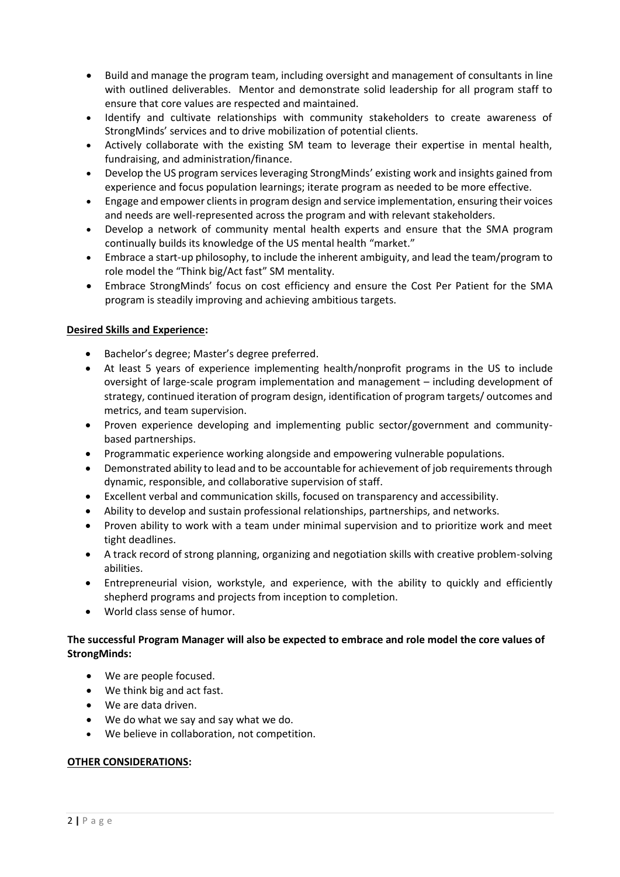- Build and manage the program team, including oversight and management of consultants in line with outlined deliverables. Mentor and demonstrate solid leadership for all program staff to ensure that core values are respected and maintained.
- Identify and cultivate relationships with community stakeholders to create awareness of StrongMinds' services and to drive mobilization of potential clients.
- Actively collaborate with the existing SM team to leverage their expertise in mental health, fundraising, and administration/finance.
- Develop the US program services leveraging StrongMinds' existing work and insights gained from experience and focus population learnings; iterate program as needed to be more effective.
- Engage and empower clients in program design and service implementation, ensuring their voices and needs are well-represented across the program and with relevant stakeholders.
- Develop a network of community mental health experts and ensure that the SMA program continually builds its knowledge of the US mental health "market."
- Embrace a start-up philosophy, to include the inherent ambiguity, and lead the team/program to role model the "Think big/Act fast" SM mentality.
- Embrace StrongMinds' focus on cost efficiency and ensure the Cost Per Patient for the SMA program is steadily improving and achieving ambitious targets.

# **Desired Skills and Experience:**

- Bachelor's degree; Master's degree preferred.
- At least 5 years of experience implementing health/nonprofit programs in the US to include oversight of large-scale program implementation and management – including development of strategy, continued iteration of program design, identification of program targets/ outcomes and metrics, and team supervision.
- Proven experience developing and implementing public sector/government and communitybased partnerships.
- Programmatic experience working alongside and empowering vulnerable populations.
- Demonstrated ability to lead and to be accountable for achievement of job requirements through dynamic, responsible, and collaborative supervision of staff.
- Excellent verbal and communication skills, focused on transparency and accessibility.
- Ability to develop and sustain professional relationships, partnerships, and networks.
- Proven ability to work with a team under minimal supervision and to prioritize work and meet tight deadlines.
- A track record of strong planning, organizing and negotiation skills with creative problem-solving abilities.
- Entrepreneurial vision, workstyle, and experience, with the ability to quickly and efficiently shepherd programs and projects from inception to completion.
- World class sense of humor.

# **The successful Program Manager will also be expected to embrace and role model the core values of StrongMinds:**

- We are people focused.
- We think big and act fast.
- We are data driven.
- We do what we say and say what we do.
- We believe in collaboration, not competition.

### **OTHER CONSIDERATIONS:**